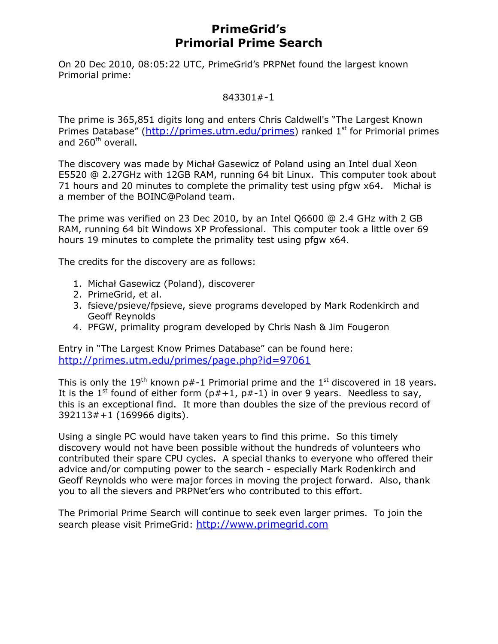## **PrimeGrid's Primorial Prime Search**

On 20 Dec 2010, 08:05:22 UTC, PrimeGrid's PRPNet found the largest known Primorial prime:

## 843301#-1

The prime is 365,851 digits long and enters Chris Caldwell's "The Largest Known Primes Database" (http://primes.utm.edu/primes) ranked 1<sup>st</sup> for Primorial primes and 260<sup>th</sup> overall.

The discovery was made by Michał Gasewicz of Poland using an Intel dual Xeon E5520 @ 2.27GHz with 12GB RAM, running 64 bit Linux. This computer took about 71 hours and 20 minutes to complete the primality test using pfgw x64. Michał is a member of the BOINC@Poland team.

The prime was verified on 23 Dec 2010, by an Intel Q6600 @ 2.4 GHz with 2 GB RAM, running 64 bit Windows XP Professional. This computer took a little over 69 hours 19 minutes to complete the primality test using pfgw x64.

The credits for the discovery are as follows:

- 1. Michał Gasewicz (Poland), discoverer
- 2. PrimeGrid, et al.
- 3. fsieve/psieve/fpsieve, sieve programs developed by Mark Rodenkirch and Geoff Reynolds
- 4. PFGW, primality program developed by Chris Nash & Jim Fougeron

Entry in "The Largest Know Primes Database" can be found here: http://primes.utm.edu/primes/page.php?id=97061

This is only the 19<sup>th</sup> known p#-1 Primorial prime and the 1<sup>st</sup> discovered in 18 years. It is the 1<sup>st</sup> found of either form ( $p#+1$ ,  $p#-1$ ) in over 9 years. Needless to say, this is an exceptional find. It more than doubles the size of the previous record of 392113#+1 (169966 digits).

Using a single PC would have taken years to find this prime. So this timely discovery would not have been possible without the hundreds of volunteers who contributed their spare CPU cycles. A special thanks to everyone who offered their advice and/or computing power to the search - especially Mark Rodenkirch and Geoff Reynolds who were major forces in moving the project forward. Also, thank you to all the sievers and PRPNet'ers who contributed to this effort.

The Primorial Prime Search will continue to seek even larger primes. To join the search please visit PrimeGrid: http://www.primegrid.com